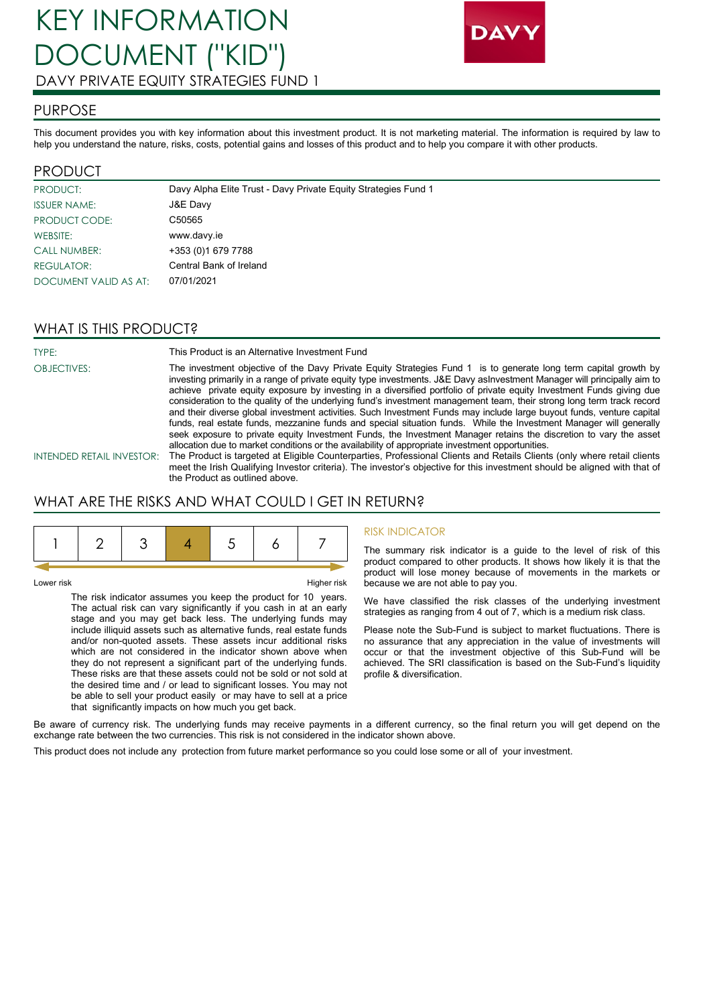

## PURPOSE

This document provides you with key information about this investment product. It is not marketing material. The information is required by law to help you understand the nature, risks, costs, potential gains and losses of this product and to help you compare it with other products.

## PRODUCT

| PRODUCT:              | Davy Alpha Elite Trust - Davy Private Equity Strategies Fund 1 |
|-----------------------|----------------------------------------------------------------|
| <b>ISSUER NAME:</b>   | J&E Davy                                                       |
| PRODUCT CODE:         | C <sub>50565</sub>                                             |
| WEBSITE:              | www.davy.ie                                                    |
| <b>CALL NUMBER:</b>   | +353 (0)1 679 7788                                             |
| <b>REGULATOR:</b>     | Central Bank of Ireland                                        |
| DOCUMENT VALID AS AT: | 07/01/2021                                                     |

## WHAT IS THIS PRODUCT?

TYPE: This Product is an Alternative Investment Fund

OBJECTIVES: The investment objective of the Davy Private Equity Strategies Fund 1 is to generate long term capital growth by investing primarily in a range of private equity type investments. J&E Davy asInvestment Manager will principally aim to achieve private equity exposure by investing in a diversified portfolio of private equity Investment Funds giving due consideration to the quality of the underlying fund's investment management team, their strong long term track record and their diverse global investment activities. Such Investment Funds may include large buyout funds, venture capital funds, real estate funds, mezzanine funds and special situation funds. While the Investment Manager will generally seek exposure to private equity Investment Funds, the Investment Manager retains the discretion to vary the asset allocation due to market conditions or the availability of appropriate investment opportunities.

INTENDED RETAIL INVESTOR: The Product is targeted at Eligible Counterparties, Professional Clients and Retails Clients (only where retail clients meet the Irish Qualifying Investor criteria). The investor's objective for this investment should be aligned with that of the Product as outlined above.

# WHAT ARE THE RISKS AND WHAT COULD I GET IN RETURN?

Lower risk Higher risk

The risk indicator assumes you keep the product for 10 years. The actual risk can vary significantly if you cash in at an early stage and you may get back less. The underlying funds may include illiquid assets such as alternative funds, real estate funds and/or non-quoted assets. These assets incur additional risks which are not considered in the indicator shown above when they do not represent a significant part of the underlying funds. These risks are that these assets could not be sold or not sold at the desired time and / or lead to significant losses. You may not be able to sell your product easily or may have to sell at a price that significantly impacts on how much you get back.

#### RISK INDICATOR

The summary risk indicator is a guide to the level of risk of this product compared to other products. It shows how likely it is that the product will lose money because of movements in the markets or because we are not able to pay you.

We have classified the risk classes of the underlying investment strategies as ranging from 4 out of 7, which is a medium risk class.

Please note the Sub-Fund is subject to market fluctuations. There is no assurance that any appreciation in the value of investments will occur or that the investment objective of this Sub-Fund will be achieved. The SRI classification is based on the Sub-Fund's liquidity profile & diversification.

Be aware of currency risk. The underlying funds may receive payments in a different currency, so the final return you will get depend on the exchange rate between the two currencies. This risk is not considered in the indicator shown above.

This product does not include any protection from future market performance so you could lose some or all of your investment.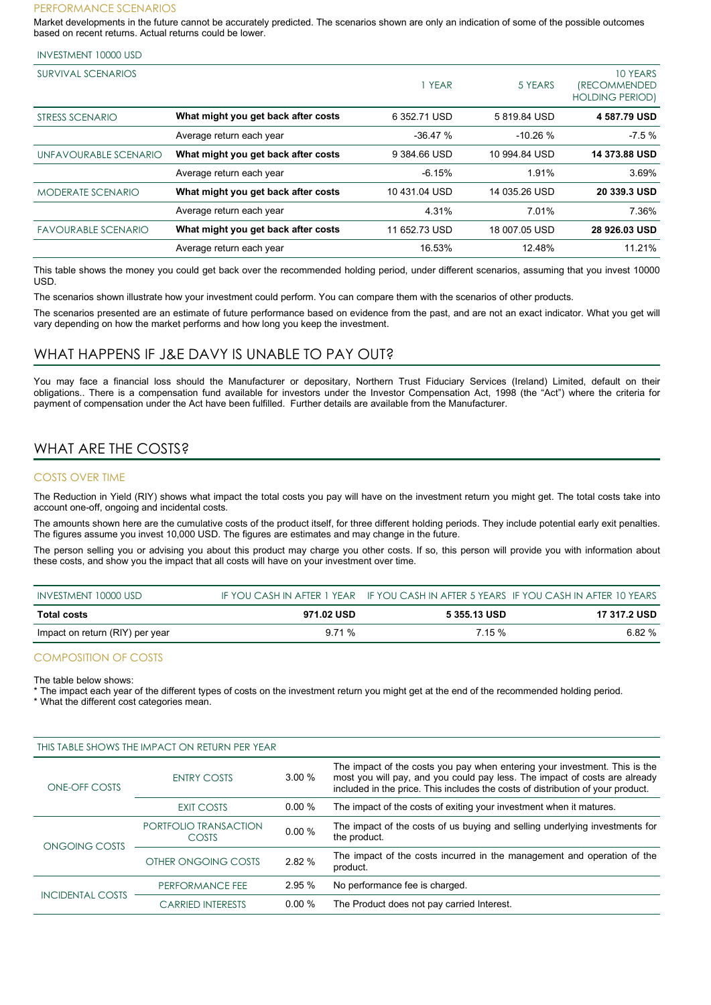#### PERFORMANCE SCENARIOS

Market developments in the future cannot be accurately predicted. The scenarios shown are only an indication of some of the possible outcomes based on recent returns. Actual returns could be lower.

#### INVESTMENT 10000 USD

| SURVIVAL SCENARIOS         |                                     | YEAR          | 5 YEARS       | 10 YEARS<br><i><b>(RECOMMENDED)</b></i><br><b>HOLDING PERIOD)</b> |
|----------------------------|-------------------------------------|---------------|---------------|-------------------------------------------------------------------|
| STRESS SCENARIO            | What might you get back after costs | 6 352.71 USD  | 5819.84 USD   | 4 587.79 USD                                                      |
|                            | Average return each year            | $-36.47%$     | $-10.26%$     | $-7.5%$                                                           |
| UNFAVOURABLE SCENARIO      | What might you get back after costs | 9 384.66 USD  | 10 994.84 USD | <b>14 373.88 USD</b>                                              |
|                            | Average return each year            | $-6.15%$      | 1.91%         | 3.69%                                                             |
| <b>MODERATE SCENARIO</b>   | What might you get back after costs | 10431.04 USD  | 14 035.26 USD | 20 339.3 USD                                                      |
|                            | Average return each year            | 4.31%         | 7.01%         | 7.36%                                                             |
| <b>FAVOURABLE SCENARIO</b> | What might you get back after costs | 11 652.73 USD | 18 007.05 USD | 28 926.03 USD                                                     |
|                            | Average return each year            | 16.53%        | 12.48%        | 11.21%                                                            |

This table shows the money you could get back over the recommended holding period, under different scenarios, assuming that you invest 10000 USD.

The scenarios shown illustrate how your investment could perform. You can compare them with the scenarios of other products.

The scenarios presented are an estimate of future performance based on evidence from the past, and are not an exact indicator. What you get will vary depending on how the market performs and how long you keep the investment.

#### WHAT HAPPENS IF J&E DAVY IS UNABLE TO PAY OUT?

You may face a financial loss should the Manufacturer or depositary, Northern Trust Fiduciary Services (Ireland) Limited, default on their obligations.. There is a compensation fund available for investors under the Investor Compensation Act, 1998 (the "Act") where the criteria for payment of compensation under the Act have been fulfilled. Further details are available from the Manufacturer.

## WHAT ARE THE COSTS?

#### COSTS OVER TIME

The Reduction in Yield (RIY) shows what impact the total costs you pay will have on the investment return you might get. The total costs take into account one-off, ongoing and incidental costs.

The amounts shown here are the cumulative costs of the product itself, for three different holding periods. They include potential early exit penalties. The figures assume you invest 10,000 USD. The figures are estimates and may change in the future.

The person selling you or advising you about this product may charge you other costs. If so, this person will provide you with information about these costs, and show you the impact that all costs will have on your investment over time.

| INVESTMENT 10000 USD            |            |              | IF YOU CASH IN AFTER 1 YEAR IF YOU CASH IN AFTER 5 YEARS IF YOU CASH IN AFTER 10 YEARS |
|---------------------------------|------------|--------------|----------------------------------------------------------------------------------------|
| Total costs                     | 971.02 USD | 5 355.13 USD | 17 317.2 USD                                                                           |
| Impact on return (RIY) per year | 9.71 %     | 7.15%        | 6.82 %                                                                                 |

#### COMPOSITION OF COSTS

The table below shows:

The impact each year of the different types of costs on the investment return you might get at the end of the recommended holding period.

\* What the different cost categories mean.

| THIS TABLE SHOWS THE IMPACT ON RETURN PER YEAR |                                       |          |                                                                                                                                                                                                                                             |  |
|------------------------------------------------|---------------------------------------|----------|---------------------------------------------------------------------------------------------------------------------------------------------------------------------------------------------------------------------------------------------|--|
| <b>ONE-OFF COSTS</b>                           | <b>ENTRY COSTS</b>                    | 3.00%    | The impact of the costs you pay when entering your investment. This is the<br>most you will pay, and you could pay less. The impact of costs are already<br>included in the price. This includes the costs of distribution of your product. |  |
|                                                | <b>EXIT COSTS</b>                     | $0.00\%$ | The impact of the costs of exiting your investment when it matures.                                                                                                                                                                         |  |
| ONGOING COSTS                                  | PORTFOLIO TRANSACTION<br><b>COSTS</b> | 0.00%    | The impact of the costs of us buying and selling underlying investments for<br>the product.                                                                                                                                                 |  |
|                                                | OTHER ONGOING COSTS                   | 2.82 %   | The impact of the costs incurred in the management and operation of the<br>product.                                                                                                                                                         |  |
| <b>INCIDENTAL COSTS</b>                        | PERFORMANCE FEE                       | 2.95%    | No performance fee is charged.                                                                                                                                                                                                              |  |
|                                                | <b>CARRIED INTERESTS</b>              | $0.00\%$ | The Product does not pay carried Interest.                                                                                                                                                                                                  |  |